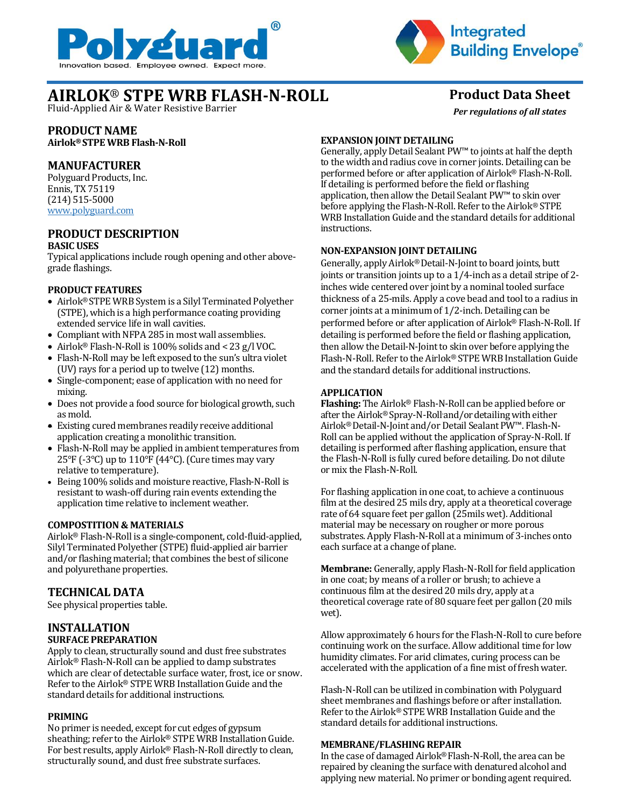



*Per regulations of all states*

# **AIRLOK**® **STPE WRB FLASH-N-ROLL Product Data Sheet**

Fluid-Applied Air & Water Resistive Barrier

# **PRODUCT NAME**

**Airlok® STPE WRB Flash-N-Roll**

## **MANUFACTURER**

Polyguard Products, Inc. Ennis, TX 75119 (214) 515-5000 [www.polyguard.com](http://www.polyguard.com/)

#### **PRODUCT DESCRIPTION BASIC USES**

Typical applications include rough opening and other abovegrade flashings.

#### **PRODUCT FEATURES**

- Airlok® STPE WRB System is a Silyl Terminated Polyether (STPE), which is a high performance coating providing extended service life in wall cavities.
- Compliant with NFPA 285 in most wall assemblies.
- Airlok® Flash-N-Roll is 100% solids and < 23 g/l VOC.
- Flash-N-Roll may be left exposed to the sun's ultra violet (UV) rays for a period up to twelve (12) months.
- Single-component; ease of application with no need for mixing.
- Does not provide a food source for biological growth, such as mold.
- Existing cured membranes readily receive additional application creating a monolithic transition.
- Flash-N-Roll may be applied in ambient temperatures from 25°F (-3°C) up to 110°F (44°C). (Cure times may vary relative to temperature).
- Being 100% solids and moisture reactive, Flash-N-Roll is resistant to wash-off during rain events extending the application time relative to inclement weather.

#### **COMPOSTITION & MATERIALS**

Airlok® Flash-N-Roll is a single-component, cold-fluid-applied, Silyl Terminated Polyether (STPE) fluid-applied air barrier and/or flashing material; that combines the best of silicone and polyurethane properties.

# **TECHNICAL DATA**

See physical properties table.

## **INSTALLATION SURFACE PREPARATION**

Apply to clean, structurally sound and dust free substrates Airlok® Flash-N-Roll can be applied to damp substrates which are clear of detectable surface water, frost, ice or snow. Refer to the Airlok® STPE WRB Installation Guide and the standard details for additional instructions.

#### **PRIMING**

No primer is needed, except for cut edges of gypsum sheathing; refer to the Airlok® STPE WRB Installation Guide. For best results, apply Airlok® Flash-N-Roll directly to clean, structurally sound, and dust free substrate surfaces.

## **EXPANSION JOINT DETAILING**

Generally, apply Detail Sealant PW™ to joints at half the depth to the width and radius cove in corner joints. Detailing can be performed before or after application of Airlok® Flash-N-Roll. If detailing is performed before the field or flashing application, then allow the Detail Sealant PW™ to skin over before applying the Flash-N-Roll. Refer to the Airlok® STPE WRB Installation Guide and the standard details for additional instructions.

## **NON-EXPANSION JOINT DETAILING**

Generally, apply Airlok® Detail-N-Joint to board joints, butt joints or transition joints up to a 1/4-inch as a detail stripe of 2 inches wide centered over joint by a nominal tooled surface thickness of a 25-mils. Apply a cove bead and tool to a radius in corner joints at a minimum of 1/2-inch. Detailing can be performed before or after application of Airlok® Flash-N-Roll. If detailing is performed before the field or flashing application, then allow the Detail-N-Joint to skin over before applying the Flash-N-Roll. Refer to the Airlok® STPE WRB Installation Guide and the standard details for additional instructions.

## **APPLICATION**

**Flashing:** The Airlok® Flash-N-Roll can be applied before or after the Airlok® Spray-N-Rolland/ordetailing with either Airlok® Detail-N-Joint and/or Detail Sealant PW™. Flash-N-Roll can be applied without the application of Spray-N-Roll. If detailing is performed after flashing application, ensure that the Flash-N-Roll is fully cured before detailing. Do not dilute or mix the Flash-N-Roll.

For flashing application in one coat, to achieve a continuous film at the desired 25 mils dry, apply at a theoretical coverage rate of 64 square feet per gallon (25mils wet). Additional material may be necessary on rougher or more porous substrates. Apply Flash-N-Roll at a minimum of 3-inches onto each surface at a change of plane.

**Membrane:** Generally, apply Flash-N-Roll for field application in one coat; by means of a roller or brush; to achieve a continuous film at the desired 20 mils dry, apply at a theoretical coverage rate of 80 square feet per gallon (20 mils wet).

Allow approximately 6 hours for the Flash-N-Roll to cure before continuing work on the surface. Allow additional time for low humidity climates. For arid climates, curing process can be accelerated with the application of a fine mist of fresh water.

Flash-N-Roll can be utilized in combination with Polyguard sheet membranes and flashings before or after installation. Refer to the Airlok® STPE WRB Installation Guide and the standard details for additional instructions.

#### **MEMBRANE/FLASHING REPAIR**

In the case of damaged Airlok® Flash-N-Roll, the area can be repaired by cleaning the surface with denatured alcohol and applying new material. No primer or bonding agent required.